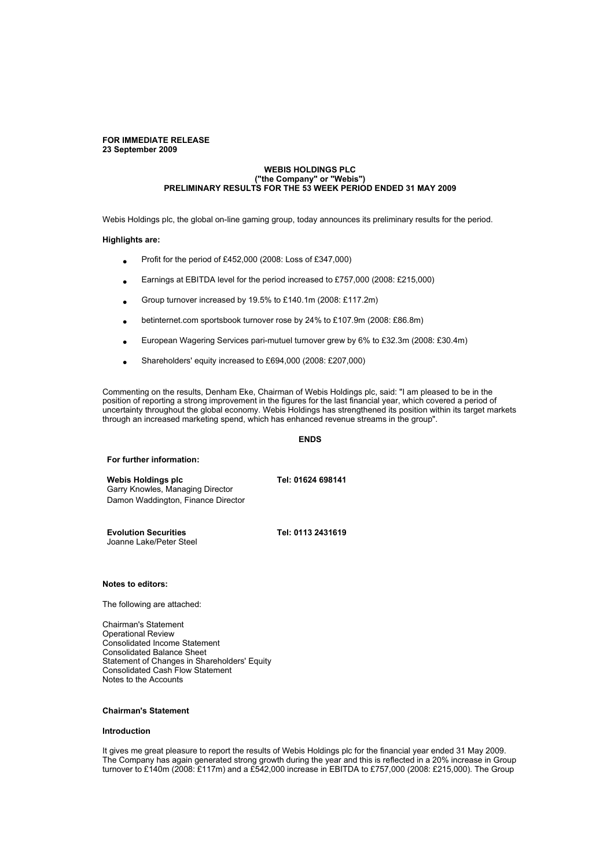#### **FOR IMMEDIATE RELEASE 23 September 2009**

#### **WEBIS HOLDINGS PLC ("the Company" or "Webis") PRELIMINARY RESULTS FOR THE 53 WEEK PERIOD ENDED 31 MAY 2009**

Webis Holdings plc, the global on-line gaming group, today announces its preliminary results for the period.

## **Highlights are:**

- Profit for the period of £452,000 (2008: Loss of £347,000)
- Earnings at EBITDA level for the period increased to £757,000 (2008: £215,000)
- Group turnover increased by 19.5% to £140.1m (2008: £117.2m)
- betinternet.com sportsbook turnover rose by 24% to £107.9m (2008: £86.8m)
- European Wagering Services pari-mutuel turnover grew by 6% to £32.3m (2008: £30.4m)
- Shareholders' equity increased to £694,000 (2008: £207,000)

Commenting on the results, Denham Eke, Chairman of Webis Holdings plc, said: "I am pleased to be in the position of reporting a strong improvement in the figures for the last financial year, which covered a period of uncertainty throughout the global economy. Webis Holdings has strengthened its position within its target markets through an increased marketing spend, which has enhanced revenue streams in the group".

#### **ENDS**

#### **For further information:**

**Webis Holdings plc Tel: 01624 698141** Garry Knowles, Managing Director Damon Waddington, Finance Director

**Evolution Securities Tel: 0113 2431619** Joanne Lake/Peter Steel

### **Notes to editors:**

The following are attached:

Chairman's Statement Operational Review Consolidated Income Statement Consolidated Balance Sheet Statement of Changes in Shareholders' Equity Consolidated Cash Flow Statement Notes to the Accounts

# **Chairman's Statement**

# **Introduction**

It gives me great pleasure to report the results of Webis Holdings plc for the financial year ended 31 May 2009. The Company has again generated strong growth during the year and this is reflected in a 20% increase in Group turnover to £140m (2008: £117m) and a £542,000 increase in EBITDA to £757,000 (2008: £215,000). The Group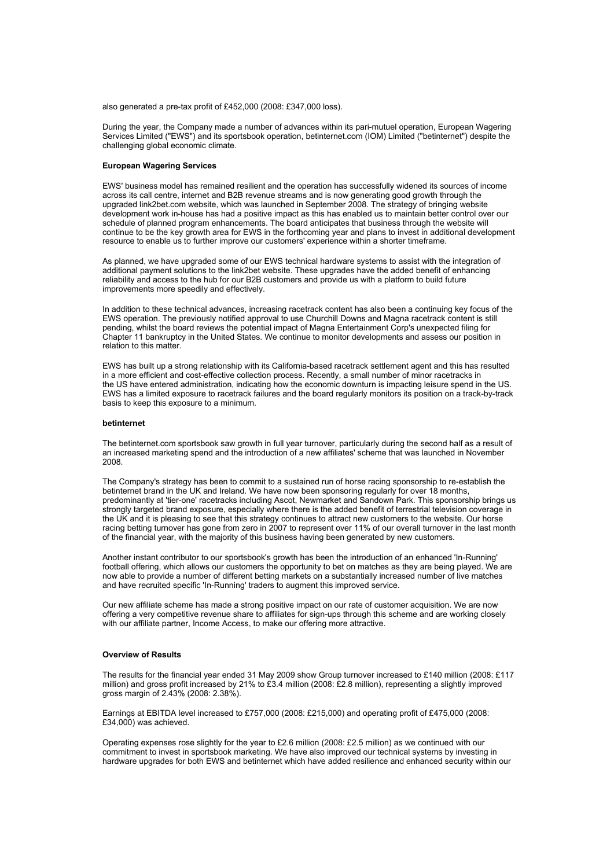also generated a pre-tax profit of £452,000 (2008: £347,000 loss).

During the year, the Company made a number of advances within its pari-mutuel operation, European Wagering Services Limited ("EWS") and its sportsbook operation, betinternet.com (IOM) Limited ("betinternet") despite the challenging global economic climate.

## **European Wagering Services**

EWS' business model has remained resilient and the operation has successfully widened its sources of income across its call centre, internet and B2B revenue streams and is now generating good growth through the upgraded link2bet.com website, which was launched in September 2008. The strategy of bringing website development work in-house has had a positive impact as this has enabled us to maintain better control over our schedule of planned program enhancements. The board anticipates that business through the website will continue to be the key growth area for EWS in the forthcoming year and plans to invest in additional development resource to enable us to further improve our customers' experience within a shorter timeframe.

As planned, we have upgraded some of our EWS technical hardware systems to assist with the integration of additional payment solutions to the link2bet website. These upgrades have the added benefit of enhancing reliability and access to the hub for our B2B customers and provide us with a platform to build future improvements more speedily and effectively.

In addition to these technical advances, increasing racetrack content has also been a continuing key focus of the EWS operation. The previously notified approval to use Churchill Downs and Magna racetrack content is still pending, whilst the board reviews the potential impact of Magna Entertainment Corp's unexpected filing for Chapter 11 bankruptcy in the United States. We continue to monitor developments and assess our position in relation to this matter.

EWS has built up a strong relationship with its California-based racetrack settlement agent and this has resulted in a more efficient and cost-effective collection process. Recently, a small number of minor racetracks in the US have entered administration, indicating how the economic downturn is impacting leisure spend in the US. EWS has a limited exposure to racetrack failures and the board regularly monitors its position on a track-by-track basis to keep this exposure to a minimum.

### **betinternet**

The betinternet.com sportsbook saw growth in full year turnover, particularly during the second half as a result of an increased marketing spend and the introduction of a new affiliates' scheme that was launched in November 2008.

The Company's strategy has been to commit to a sustained run of horse racing sponsorship to re-establish the betinternet brand in the UK and Ireland. We have now been sponsoring regularly for over 18 months, predominantly at 'tier-one' racetracks including Ascot, Newmarket and Sandown Park. This sponsorship brings us strongly targeted brand exposure, especially where there is the added benefit of terrestrial television coverage in the UK and it is pleasing to see that this strategy continues to attract new customers to the website. Our horse racing betting turnover has gone from zero in 2007 to represent over 11% of our overall turnover in the last month of the financial year, with the majority of this business having been generated by new customers.

Another instant contributor to our sportsbook's growth has been the introduction of an enhanced 'In-Running' football offering, which allows our customers the opportunity to bet on matches as they are being played. We are now able to provide a number of different betting markets on a substantially increased number of live matches and have recruited specific 'In-Running' traders to augment this improved service.

Our new affiliate scheme has made a strong positive impact on our rate of customer acquisition. We are now offering a very competitive revenue share to affiliates for sign-ups through this scheme and are working closely with our affiliate partner, Income Access, to make our offering more attractive.

## **Overview of Results**

The results for the financial year ended 31 May 2009 show Group turnover increased to £140 million (2008: £117 million) and gross profit increased by 21% to £3.4 million (2008: £2.8 million), representing a slightly improved gross margin of 2.43% (2008: 2.38%).

Earnings at EBITDA level increased to £757,000 (2008: £215,000) and operating profit of £475,000 (2008: £34,000) was achieved.

Operating expenses rose slightly for the year to £2.6 million (2008: £2.5 million) as we continued with our commitment to invest in sportsbook marketing. We have also improved our technical systems by investing in hardware upgrades for both EWS and betinternet which have added resilience and enhanced security within our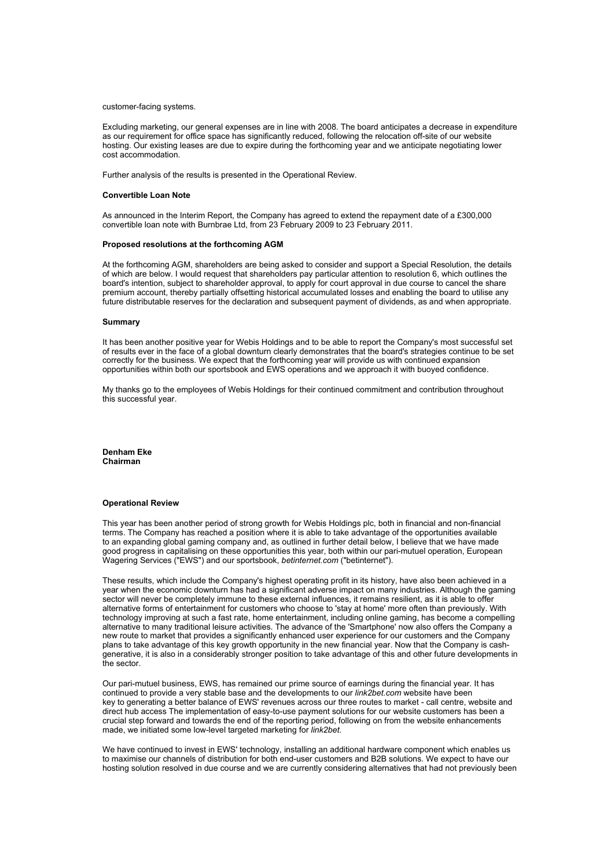customer-facing systems.

Excluding marketing, our general expenses are in line with 2008. The board anticipates a decrease in expenditure as our requirement for office space has significantly reduced, following the relocation off-site of our website hosting. Our existing leases are due to expire during the forthcoming year and we anticipate negotiating lower cost accommodation.

Further analysis of the results is presented in the Operational Review.

#### **Convertible Loan Note**

As announced in the Interim Report, the Company has agreed to extend the repayment date of a £300,000 convertible loan note with Burnbrae Ltd, from 23 February 2009 to 23 February 2011.

#### **Proposed resolutions at the forthcoming AGM**

At the forthcoming AGM, shareholders are being asked to consider and support a Special Resolution, the details of which are below. I would request that shareholders pay particular attention to resolution 6, which outlines the board's intention, subject to shareholder approval, to apply for court approval in due course to cancel the share premium account, thereby partially offsetting historical accumulated losses and enabling the board to utilise any future distributable reserves for the declaration and subsequent payment of dividends, as and when appropriate.

#### **Summary**

It has been another positive year for Webis Holdings and to be able to report the Company's most successful set of results ever in the face of a global downturn clearly demonstrates that the board's strategies continue to be set correctly for the business. We expect that the forthcoming year will provide us with continued expansion opportunities within both our sportsbook and EWS operations and we approach it with buoyed confidence.

My thanks go to the employees of Webis Holdings for their continued commitment and contribution throughout this successful year.

**Denham Eke Chairman**

# **Operational Review**

This year has been another period of strong growth for Webis Holdings plc, both in financial and non-financial terms. The Company has reached a position where it is able to take advantage of the opportunities available to an expanding global gaming company and, as outlined in further detail below, I believe that we have made good progress in capitalising on these opportunities this year, both within our pari-mutuel operation, European Wagering Services ("EWS") and our sportsbook, *betinternet.com* ("betinternet").

These results, which include the Company's highest operating profit in its history, have also been achieved in a year when the economic downturn has had a significant adverse impact on many industries. Although the gaming sector will never be completely immune to these external influences, it remains resilient, as it is able to offer alternative forms of entertainment for customers who choose to 'stay at home' more often than previously. With technology improving at such a fast rate, home entertainment, including online gaming, has become a compelling alternative to many traditional leisure activities. The advance of the 'Smartphone' now also offers the Company a new route to market that provides a significantly enhanced user experience for our customers and the Company plans to take advantage of this key growth opportunity in the new financial year. Now that the Company is cashgenerative, it is also in a considerably stronger position to take advantage of this and other future developments in the sector.

Our pari-mutuel business, EWS, has remained our prime source of earnings during the financial year. It has continued to provide a very stable base and the developments to our *link2bet.com* website have been key to generating a better balance of EWS' revenues across our three routes to market - call centre, website and direct hub access The implementation of easy-to-use payment solutions for our website customers has been a crucial step forward and towards the end of the reporting period, following on from the website enhancements made, we initiated some low-level targeted marketing for *link2bet*.

We have continued to invest in EWS' technology, installing an additional hardware component which enables us to maximise our channels of distribution for both end-user customers and B2B solutions. We expect to have our hosting solution resolved in due course and we are currently considering alternatives that had not previously been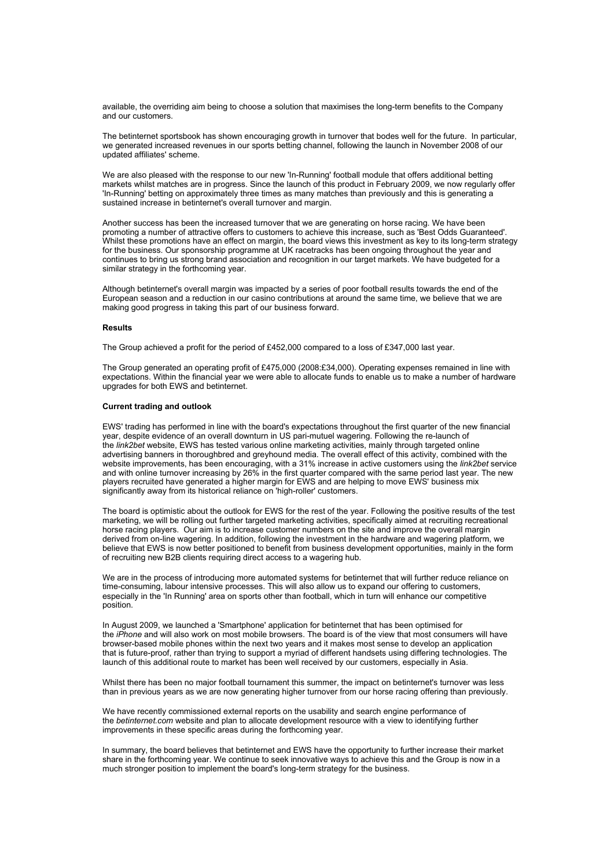available, the overriding aim being to choose a solution that maximises the long-term benefits to the Company and our customers.

The betinternet sportsbook has shown encouraging growth in turnover that bodes well for the future. In particular, we generated increased revenues in our sports betting channel, following the launch in November 2008 of our updated affiliates' scheme.

We are also pleased with the response to our new 'In-Running' football module that offers additional betting markets whilst matches are in progress. Since the launch of this product in February 2009, we now regularly offer 'In-Running' betting on approximately three times as many matches than previously and this is generating a sustained increase in betinternet's overall turnover and margin.

Another success has been the increased turnover that we are generating on horse racing. We have been promoting a number of attractive offers to customers to achieve this increase, such as 'Best Odds Guaranteed'. Whilst these promotions have an effect on margin, the board views this investment as key to its long-term strategy for the business. Our sponsorship programme at UK racetracks has been ongoing throughout the year and continues to bring us strong brand association and recognition in our target markets. We have budgeted for a similar strategy in the forthcoming year.

Although betinternet's overall margin was impacted by a series of poor football results towards the end of the European season and a reduction in our casino contributions at around the same time, we believe that we are making good progress in taking this part of our business forward.

#### **Results**

The Group achieved a profit for the period of £452,000 compared to a loss of £347,000 last year.

The Group generated an operating profit of £475,000 (2008:£34,000). Operating expenses remained in line with expectations. Within the financial year we were able to allocate funds to enable us to make a number of hardware upgrades for both EWS and betinternet.

#### **Current trading and outlook**

EWS' trading has performed in line with the board's expectations throughout the first quarter of the new financial year, despite evidence of an overall downturn in US pari-mutuel wagering. Following the re-launch of the *link2bet* website, EWS has tested various online marketing activities, mainly through targeted online advertising banners in thoroughbred and greyhound media. The overall effect of this activity, combined with the website improvements, has been encouraging, with a 31% increase in active customers using the *link2bet* service and with online turnover increasing by 26% in the first quarter compared with the same period last year. The new players recruited have generated a higher margin for EWS and are helping to move EWS' business mix significantly away from its historical reliance on 'high-roller' customers.

The board is optimistic about the outlook for EWS for the rest of the year. Following the positive results of the test marketing, we will be rolling out further targeted marketing activities, specifically aimed at recruiting recreational horse racing players. Our aim is to increase customer numbers on the site and improve the overall margin derived from on-line wagering. In addition, following the investment in the hardware and wagering platform, we believe that EWS is now better positioned to benefit from business development opportunities, mainly in the form of recruiting new B2B clients requiring direct access to a wagering hub.

We are in the process of introducing more automated systems for betinternet that will further reduce reliance on time-consuming, labour intensive processes. This will also allow us to expand our offering to customers, especially in the 'In Running' area on sports other than football, which in turn will enhance our competitive position.

In August 2009, we launched a 'Smartphone' application for betinternet that has been optimised for the *iPhone* and will also work on most mobile browsers. The board is of the view that most consumers will have browser-based mobile phones within the next two years and it makes most sense to develop an application that is future-proof, rather than trying to support a myriad of different handsets using differing technologies. The launch of this additional route to market has been well received by our customers, especially in Asia.

Whilst there has been no major football tournament this summer, the impact on betinternet's turnover was less than in previous years as we are now generating higher turnover from our horse racing offering than previously.

We have recently commissioned external reports on the usability and search engine performance of the *betinternet.com* website and plan to allocate development resource with a view to identifying further improvements in these specific areas during the forthcoming year.

In summary, the board believes that betinternet and EWS have the opportunity to further increase their market share in the forthcoming year. We continue to seek innovative ways to achieve this and the Group is now in a much stronger position to implement the board's long-term strategy for the business.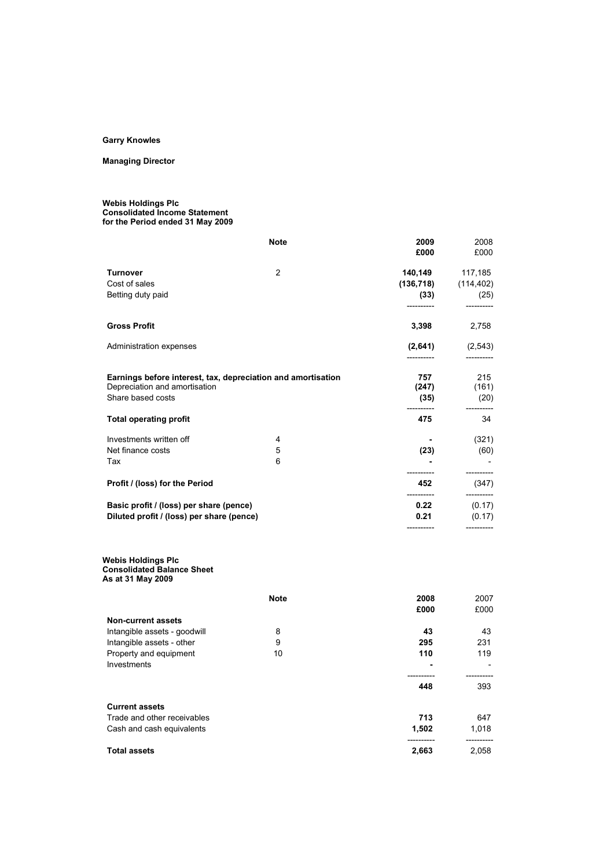# **Garry Knowles**

# **Managing Director**

#### **Webis Holdings Plc Consolidated Income Statement for the Period ended 31 May 2009**

|                                                                                                                    | <b>Note</b> | 2009<br>£000                | 2008<br>£000                                   |
|--------------------------------------------------------------------------------------------------------------------|-------------|-----------------------------|------------------------------------------------|
| <b>Turnover</b><br>Cost of sales<br>Betting duty paid                                                              | 2           | (136,718)                   | 140,149 117,185<br>(114, 402)<br>$(33)$ $(25)$ |
| <b>Gross Profit</b>                                                                                                |             | 3,398                       | 2,758                                          |
| Administration expenses                                                                                            |             | (2,641)                     | (2, 543)                                       |
| Earnings before interest, tax, depreciation and amortisation<br>Depreciation and amortisation<br>Share based costs |             | 757<br>(247)<br>(35)        | 215<br>(161)<br>(20)                           |
| <b>Total operating profit</b>                                                                                      |             | 475                         | 34                                             |
| Investments written off<br>Net finance costs<br>Tax                                                                | 4<br>5<br>6 | (23)                        | (321)<br>(60)                                  |
| Profit / (loss) for the Period                                                                                     |             | 452                         | (347)                                          |
| Basic profit / (loss) per share (pence)<br>Diluted profit / (loss) per share (pence)                               |             | -----------<br>0.22<br>0.21 | (0.17)<br>(0.17)                               |

#### **Webis Holdings Plc Consolidated Balance Sheet**

**As at 31 May 2009**

|                              | <b>Note</b> | 2008  | 2007  |
|------------------------------|-------------|-------|-------|
|                              |             | £000  | £000  |
| Non-current assets           |             |       |       |
| Intangible assets - goodwill | 8           | 43    | 43    |
| Intangible assets - other    | 9           | 295   | 231   |
| Property and equipment       | 10          | 110   | 119   |
| Investments                  |             |       |       |
|                              |             |       |       |
|                              |             | 448   | 393   |
|                              |             |       |       |
| <b>Current assets</b>        |             |       |       |
| Trade and other receivables  |             | 713   | 647   |
| Cash and cash equivalents    |             | 1,502 | 1,018 |
| <b>Total assets</b>          |             | 2,663 | 2,058 |
|                              |             |       |       |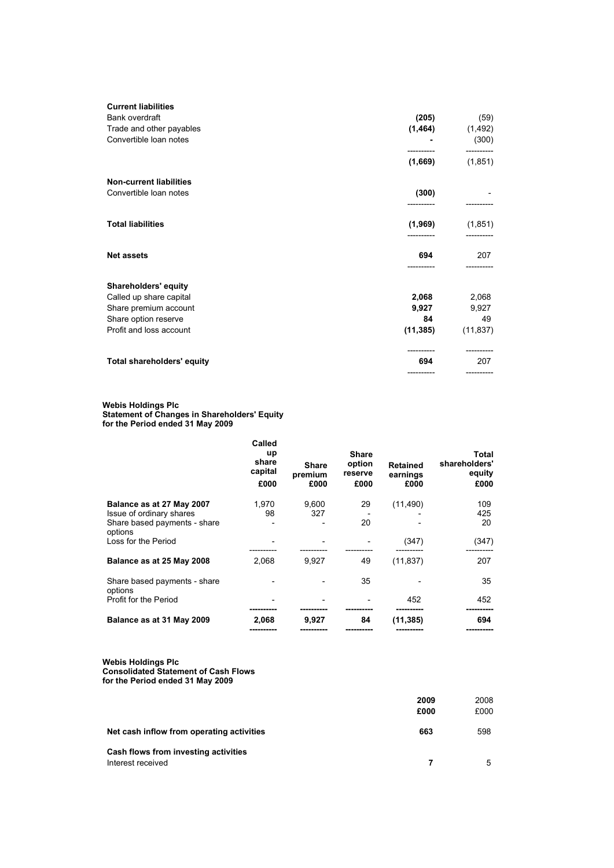| Bank overdraft<br>(205)<br>(59)<br>Trade and other payables<br>(1, 464)<br>(1, 492)<br>Convertible loan notes<br>(300)<br>(1,669)<br>(1, 851) |
|-----------------------------------------------------------------------------------------------------------------------------------------------|
|                                                                                                                                               |
|                                                                                                                                               |
|                                                                                                                                               |
|                                                                                                                                               |
| <b>Non-current liabilities</b>                                                                                                                |
| Convertible loan notes<br>(300)<br>-----------                                                                                                |
| <b>Total liabilities</b><br>(1,969)<br>(1, 851)                                                                                               |
| <b>Net assets</b><br>207<br>694                                                                                                               |
| Shareholders' equity                                                                                                                          |
| 2,068<br>2,068<br>Called up share capital                                                                                                     |
| Share premium account<br>9,927<br>9,927                                                                                                       |
| Share option reserve<br>84<br>49                                                                                                              |
| (11, 385)<br>Profit and loss account<br>(11, 837)                                                                                             |
| <b>Total shareholders' equity</b><br>694<br>207                                                                                               |
|                                                                                                                                               |

#### **Webis Holdings Plc Statement of Changes in Shareholders' Equity for the Period ended 31 May 2009**

|                                         | Called                   |                                 |                           |                                     |                                 |
|-----------------------------------------|--------------------------|---------------------------------|---------------------------|-------------------------------------|---------------------------------|
|                                         | up                       |                                 | <b>Share</b>              |                                     | Total                           |
|                                         | share<br>capital<br>£000 | <b>Share</b><br>premium<br>£000 | option<br>reserve<br>£000 | <b>Retained</b><br>earnings<br>£000 | shareholders'<br>equity<br>£000 |
| Balance as at 27 May 2007               | 1.970                    | 9,600                           | 29                        | (11, 490)                           | 109                             |
| Issue of ordinary shares                | 98                       | 327                             |                           |                                     | 425                             |
| Share based payments - share<br>options |                          |                                 | 20                        |                                     | 20                              |
| Loss for the Period                     |                          |                                 |                           | (347)                               | (347)                           |
| Balance as at 25 May 2008               | 2,068                    | 9,927                           | 49                        | (11, 837)                           | 207                             |
| Share based payments - share<br>options |                          |                                 | 35                        |                                     | 35                              |
| Profit for the Period                   |                          |                                 |                           | 452                                 | 452                             |
| Balance as at 31 May 2009               | 2,068                    | 9,927                           | 84                        | (11, 385)                           | 694                             |
|                                         |                          |                                 |                           |                                     |                                 |

**Webis Holdings Plc Consolidated Statement of Cash Flows for the Period ended 31 May 2009**

|                                                           | 2009<br>£000 | 2008<br>£000 |
|-----------------------------------------------------------|--------------|--------------|
| Net cash inflow from operating activities                 | 663          | 598          |
| Cash flows from investing activities<br>Interest received |              | 5            |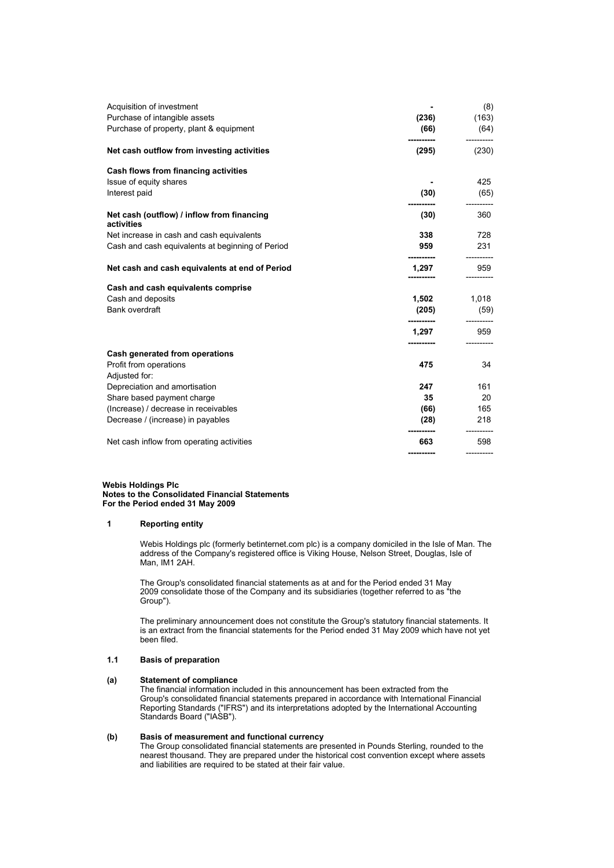| Acquisition of investment<br>Purchase of intangible assets<br>Purchase of property, plant & equipment | (236)<br>(66) | (8)<br>(163)<br>(64) |
|-------------------------------------------------------------------------------------------------------|---------------|----------------------|
| Net cash outflow from investing activities                                                            | (295)         | (230)                |
| Cash flows from financing activities                                                                  |               |                      |
| Issue of equity shares                                                                                |               | 425                  |
| Interest paid                                                                                         | (30)          | (65)                 |
| Net cash (outflow) / inflow from financing<br>activities                                              | (30)          | 360                  |
| Net increase in cash and cash equivalents                                                             | 338           | 728                  |
| Cash and cash equivalents at beginning of Period                                                      | 959           | 231                  |
| Net cash and cash equivalents at end of Period                                                        | 1,297         | 959                  |
| Cash and cash equivalents comprise                                                                    |               |                      |
| Cash and deposits                                                                                     | 1,502         | 1,018                |
| Bank overdraft                                                                                        | (205)         | (59)                 |
|                                                                                                       | 1,297         | 959                  |
| Cash generated from operations                                                                        |               |                      |
| Profit from operations                                                                                | 475           | 34                   |
| Adjusted for:                                                                                         |               |                      |
| Depreciation and amortisation                                                                         | 247           | 161                  |
| Share based payment charge                                                                            | 35            | 20                   |
| (Increase) / decrease in receivables                                                                  | (66)          | 165                  |
| Decrease / (increase) in payables                                                                     | (28)          | 218                  |
| Net cash inflow from operating activities                                                             | 663           | 598                  |
|                                                                                                       | ----------    |                      |

#### **Webis Holdings Plc Notes to the Consolidated Financial Statements For the Period ended 31 May 2009**

### **1 Reporting entity**

Webis Holdings plc (formerly betinternet.com plc) is a company domiciled in the Isle of Man. The address of the Company's registered office is Viking House, Nelson Street, Douglas, Isle of Man, IM1 2AH.

The Group's consolidated financial statements as at and for the Period ended 31 May 2009 consolidate those of the Company and its subsidiaries (together referred to as "the Group").

The preliminary announcement does not constitute the Group's statutory financial statements. It is an extract from the financial statements for the Period ended 31 May 2009 which have not yet been filed.

# **1.1 Basis of preparation**

# **(a) Statement of compliance**

The financial information included in this announcement has been extracted from the Group's consolidated financial statements prepared in accordance with International Financial Reporting Standards ("IFRS") and its interpretations adopted by the International Accounting Standards Board ("IASB").

# **(b) Basis of measurement and functional currency**

The Group consolidated financial statements are presented in Pounds Sterling, rounded to the nearest thousand. They are prepared under the historical cost convention except where assets and liabilities are required to be stated at their fair value.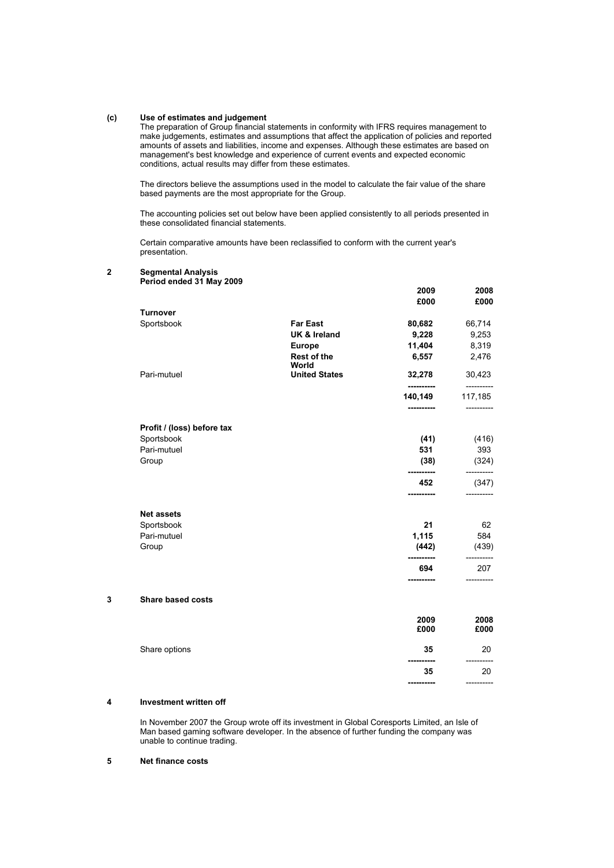# **(c) Use of estimates and judgement**

The preparation of Group financial statements in conformity with IFRS requires management to make judgements, estimates and assumptions that affect the application of policies and reported amounts of assets and liabilities, income and expenses. Although these estimates are based on management's best knowledge and experience of current events and expected economic conditions, actual results may differ from these estimates.

The directors believe the assumptions used in the model to calculate the fair value of the share based payments are the most appropriate for the Group.

The accounting policies set out below have been applied consistently to all periods presented in these consolidated financial statements.

Certain comparative amounts have been reclassified to conform with the current year's presentation.

## **2 Segmental Analysis**

|   | Period ended 31 May 2009   |                             |                       |                       |
|---|----------------------------|-----------------------------|-----------------------|-----------------------|
|   |                            |                             | 2009                  | 2008                  |
|   |                            |                             | £000                  | £000                  |
|   | <b>Turnover</b>            |                             |                       |                       |
|   | Sportsbook                 | <b>Far East</b>             | 80,682                | 66,714                |
|   |                            | <b>UK &amp; Ireland</b>     | 9,228                 | 9,253                 |
|   |                            | <b>Europe</b>               | 11,404                | 8,319                 |
|   |                            | <b>Rest of the</b><br>World | 6,557                 | 2,476                 |
|   | Pari-mutuel                | <b>United States</b>        | 32,278<br>----------  | 30,423<br>----------- |
|   |                            |                             | 140,149<br>---------- | 117,185<br>------     |
|   | Profit / (loss) before tax |                             |                       |                       |
|   | Sportsbook                 |                             | (41)                  | (416)                 |
|   | Pari-mutuel                |                             | 531                   | 393                   |
|   | Group                      |                             | (38)<br>----------    | (324)<br>-----------  |
|   |                            |                             | 452<br>----------     | (347)<br>-----------  |
|   | <b>Net assets</b>          |                             |                       |                       |
|   | Sportsbook                 |                             | 21                    | 62                    |
|   | Pari-mutuel                |                             | 1,115                 | 584                   |
|   | Group                      |                             | (442)<br>             | (439)                 |
|   |                            |                             | 694                   | 207                   |
| 3 | Share based costs          |                             |                       | -----------           |
|   |                            |                             |                       |                       |
|   |                            |                             | 2009                  | 2008                  |
|   |                            |                             | £000                  | £000                  |
|   | Share options              |                             | 35<br>----------      | 20                    |
|   |                            |                             | 35                    | 20                    |
|   |                            |                             | ----------            | -----------           |

#### **4 Investment written off**

In November 2007 the Group wrote off its investment in Global Coresports Limited, an Isle of Man based gaming software developer. In the absence of further funding the company was unable to continue trading.

# **5 Net finance costs**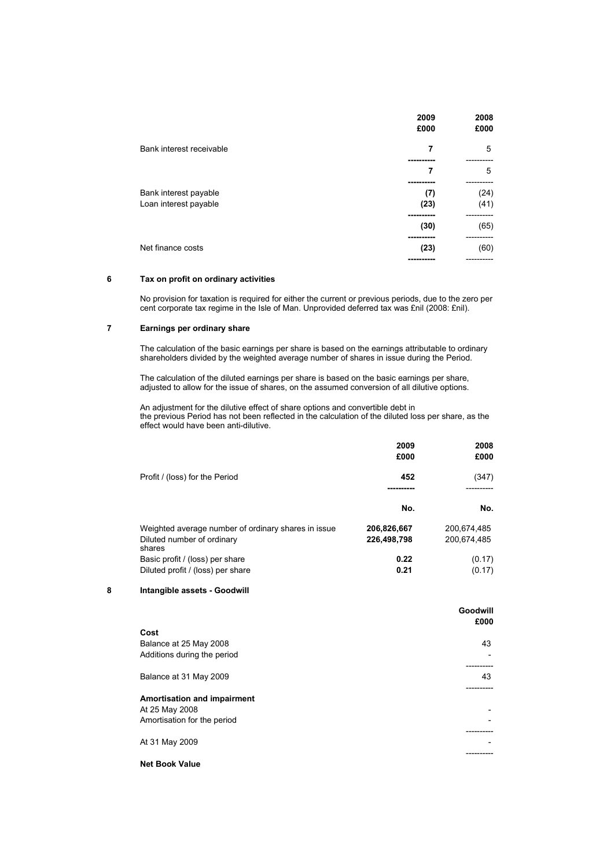|                                                | 2009<br>£000              | 2008<br>£000 |
|------------------------------------------------|---------------------------|--------------|
| Bank interest receivable                       | 7                         | 5            |
|                                                | 7<br>---------            | 5            |
| Bank interest payable<br>Loan interest payable | (7)<br>(23)<br>---------- | (24)<br>(41) |
|                                                | (30)                      | (65)         |
| Net finance costs                              | (23)                      | (60)         |

# **6 Tax on profit on ordinary activities**

No provision for taxation is required for either the current or previous periods, due to the zero per cent corporate tax regime in the Isle of Man. Unprovided deferred tax was £nil (2008: £nil).

# **7 Earnings per ordinary share**

The calculation of the basic earnings per share is based on the earnings attributable to ordinary shareholders divided by the weighted average number of shares in issue during the Period.

The calculation of the diluted earnings per share is based on the basic earnings per share, adjusted to allow for the issue of shares, on the assumed conversion of all dilutive options.

An adjustment for the dilutive effect of share options and convertible debt in the previous Period has not been reflected in the calculation of the diluted loss per share, as the effect would have been anti-dilutive.

|                                                     | 2009<br>£000 | 2008<br>£000 |
|-----------------------------------------------------|--------------|--------------|
| Profit / (loss) for the Period                      | 452          | (347)        |
|                                                     | No.          | No.          |
| Weighted average number of ordinary shares in issue | 206,826,667  | 200.674.485  |
| Diluted number of ordinary<br>shares                | 226,498,798  | 200.674.485  |
| Basic profit / (loss) per share                     | 0.22         | (0.17)       |
| Diluted profit / (loss) per share                   | 0.21         | (0.17)       |

### **8 Intangible assets - Goodwill**

|                                                                                     | Goodwill<br>£000         |
|-------------------------------------------------------------------------------------|--------------------------|
| Cost<br>Balance at 25 May 2008<br>Additions during the period                       | 43                       |
| Balance at 31 May 2009                                                              | 43                       |
| <b>Amortisation and impairment</b><br>At 25 May 2008<br>Amortisation for the period | ۰                        |
| At 31 May 2009                                                                      | $\overline{\phantom{a}}$ |
| <b>Net Book Value</b>                                                               |                          |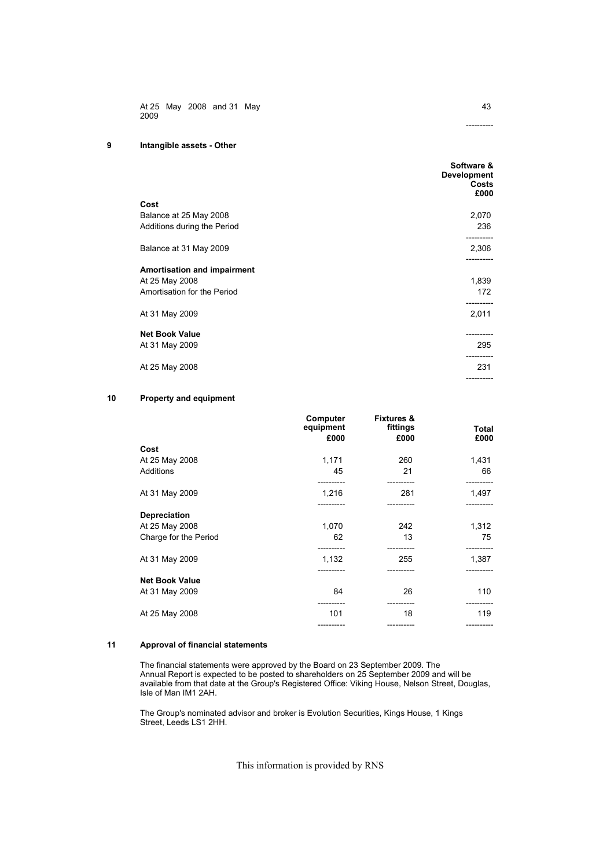At 25 May 2008 and 31 May 2009

# **9 Intangible assets - Other**

|                                    | Software &<br><b>Development</b><br>Costs<br>£000 |
|------------------------------------|---------------------------------------------------|
| Cost                               |                                                   |
| Balance at 25 May 2008             | 2,070                                             |
| Additions during the Period        | 236<br>---------                                  |
| Balance at 31 May 2009             | 2,306                                             |
| <b>Amortisation and impairment</b> |                                                   |
| At 25 May 2008                     | 1,839                                             |
| Amortisation for the Period        | 172                                               |
| At 31 May 2009                     | 2,011                                             |
| <b>Net Book Value</b>              | -----------                                       |
| At 31 May 2009                     | 295                                               |
| At 25 May 2008                     | 231                                               |
|                                    | ----------                                        |

# **10 Property and equipment**

|                       | Computer<br>equipment<br>£000 | <b>Fixtures &amp;</b><br>fittings<br>£000 | Total<br>£000       |
|-----------------------|-------------------------------|-------------------------------------------|---------------------|
| Cost                  |                               |                                           |                     |
| At 25 May 2008        | 1,171                         | 260                                       | 1,431               |
| <b>Additions</b>      | 45                            | 21                                        | 66                  |
| At 31 May 2009        | ---------<br>1,216            | ----------<br>281                         | ----------<br>1,497 |
| <b>Depreciation</b>   |                               |                                           |                     |
| At 25 May 2008        | 1,070                         | 242                                       | 1,312               |
| Charge for the Period | 62                            | 13                                        | 75                  |
| At 31 May 2009        | 1,132                         | --------<br>255                           | ----------<br>1,387 |
| <b>Net Book Value</b> | ----------                    | ----------                                | -----------         |
| At 31 May 2009        | 84                            | 26                                        | 110                 |
| At 25 May 2008        | 101                           | 18                                        | 119                 |
|                       |                               |                                           | ----------          |

### **11 Approval of financial statements**

The financial statements were approved by the Board on 23 September 2009. The Annual Report is expected to be posted to shareholders on 25 September 2009 and will be available from that date at the Group's Registered Office: Viking House, Nelson Street, Douglas, Isle of Man IM1 2AH.

The Group's nominated advisor and broker is Evolution Securities, Kings House, 1 Kings Street, Leeds LS1 2HH.

This information is provided by RNS